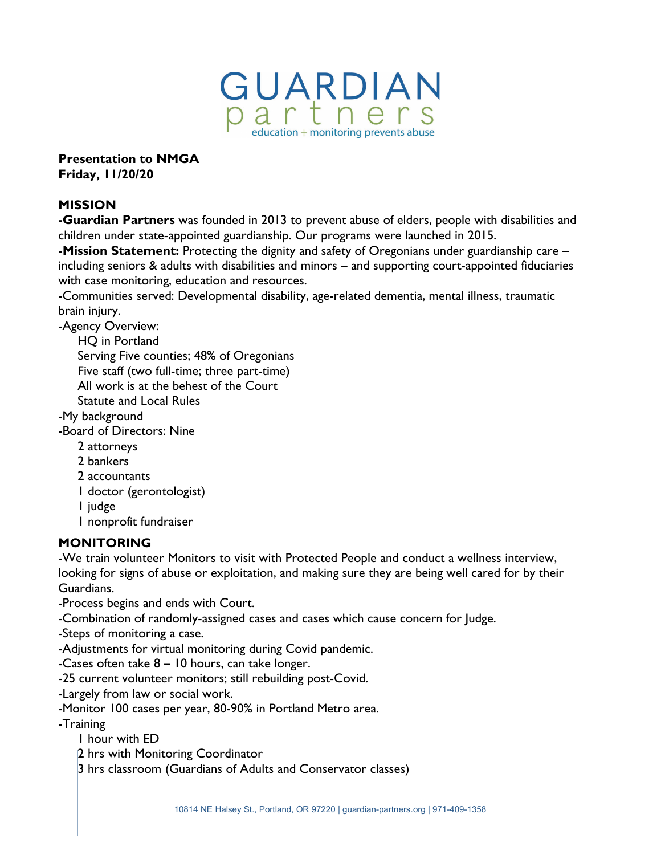

**Presentation to NMGA Friday, 11/20/20**

### **MISSION**

**-Guardian Partners** was founded in 2013 to prevent abuse of elders, people with disabilities and children under state-appointed guardianship. Our programs were launched in 2015.

**-Mission Statement:** Protecting the dignity and safety of Oregonians under guardianship care – including seniors & adults with disabilities and minors – and supporting court-appointed fiduciaries with case monitoring, education and resources.

-Communities served: Developmental disability, age-related dementia, mental illness, traumatic brain injury.

-Agency Overview:

HQ in Portland

Serving Five counties; 48% of Oregonians

Five staff (two full-time; three part-time)

All work is at the behest of the Court

Statute and Local Rules

-My background

-Board of Directors: Nine

- 2 attorneys
- 2 bankers
- 2 accountants
- 1 doctor (gerontologist)

1 judge

1 nonprofit fundraiser

#### **MONITORING**

-We train volunteer Monitors to visit with Protected People and conduct a wellness interview, looking for signs of abuse or exploitation, and making sure they are being well cared for by their Guardians.

-Process begins and ends with Court.

-Combination of randomly-assigned cases and cases which cause concern for Judge.

-Steps of monitoring a case.

-Adjustments for virtual monitoring during Covid pandemic.

-Cases often take 8 – 10 hours, can take longer.

-25 current volunteer monitors; still rebuilding post-Covid.

-Largely from law or social work.

-Monitor 100 cases per year, 80-90% in Portland Metro area.

-Training

1 hour with ED

2 hrs with Monitoring Coordinator

3 hrs classroom (Guardians of Adults and Conservator classes)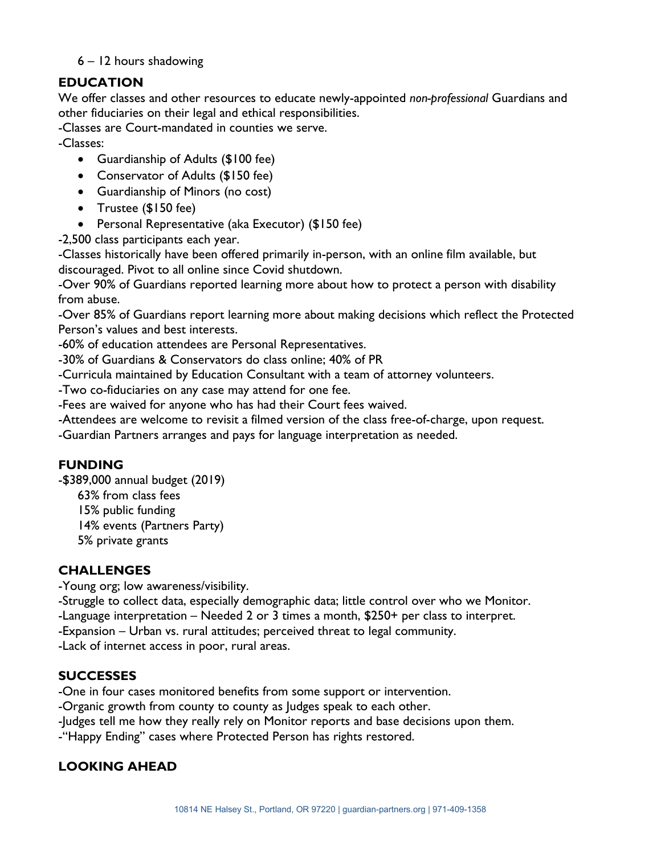### 6 – 12 hours shadowing

# **EDUCATION**

We offer classes and other resources to educate newly-appointed *non-professional* Guardians and other fiduciaries on their legal and ethical responsibilities.

-Classes are Court-mandated in counties we serve.

-Classes:

- Guardianship of Adults (\$100 fee)
- Conservator of Adults (\$150 fee)
- Guardianship of Minors (no cost)
- Trustee (\$150 fee)
- Personal Representative (aka Executor) (\$150 fee)

-2,500 class participants each year.

-Classes historically have been offered primarily in-person, with an online film available, but discouraged. Pivot to all online since Covid shutdown.

-Over 90% of Guardians reported learning more about how to protect a person with disability from abuse.

-Over 85% of Guardians report learning more about making decisions which reflect the Protected Person's values and best interests.

-60% of education attendees are Personal Representatives.

-30% of Guardians & Conservators do class online; 40% of PR

-Curricula maintained by Education Consultant with a team of attorney volunteers.

-Two co-fiduciaries on any case may attend for one fee.

-Fees are waived for anyone who has had their Court fees waived.

-Attendees are welcome to revisit a filmed version of the class free-of-charge, upon request.

-Guardian Partners arranges and pays for language interpretation as needed.

#### **FUNDING**

-\$389,000 annual budget (2019)

63% from class fees

15% public funding

14% events (Partners Party)

5% private grants

# **CHALLENGES**

-Young org; low awareness/visibility.

-Struggle to collect data, especially demographic data; little control over who we Monitor.

-Language interpretation – Needed 2 or 3 times a month, \$250+ per class to interpret.

-Expansion – Urban vs. rural attitudes; perceived threat to legal community.

-Lack of internet access in poor, rural areas.

#### **SUCCESSES**

-One in four cases monitored benefits from some support or intervention.

-Organic growth from county to county as Judges speak to each other.

-Judges tell me how they really rely on Monitor reports and base decisions upon them.

-"Happy Ending" cases where Protected Person has rights restored.

# **LOOKING AHEAD**